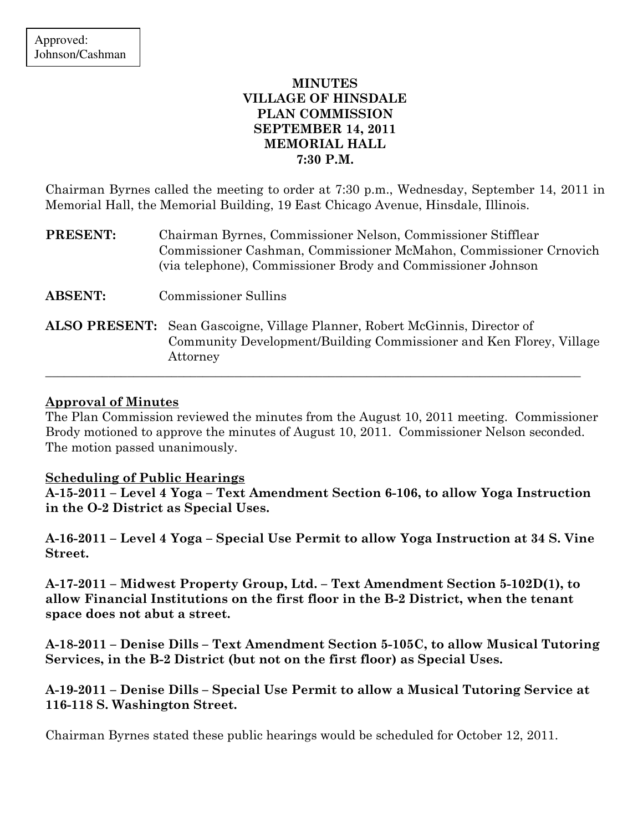# MINUTES VILLAGE OF HINSDALE PLAN COMMISSION SEPTEMBER 14, 2011 MEMORIAL HALL 7:30 P.M.

Chairman Byrnes called the meeting to order at 7:30 p.m., Wednesday, September 14, 2011 in Memorial Hall, the Memorial Building, 19 East Chicago Avenue, Hinsdale, Illinois.

| PRESENT:       | Chairman Byrnes, Commissioner Nelson, Commissioner Stifflear<br>Commissioner Cashman, Commissioner McMahon, Commissioner Crnovich<br>(via telephone), Commissioner Brody and Commissioner Johnson |
|----------------|---------------------------------------------------------------------------------------------------------------------------------------------------------------------------------------------------|
| <b>ABSENT:</b> | <b>Commissioner Sullins</b>                                                                                                                                                                       |
|                | <b>ALSO PRESENT:</b> Sean Gascoigne, Village Planner, Robert McGinnis, Director of<br>Community Development/Building Commissioner and Ken Florey, Village<br>Attorney                             |

## Approval of Minutes

The Plan Commission reviewed the minutes from the August 10, 2011 meeting. Commissioner Brody motioned to approve the minutes of August 10, 2011. Commissioner Nelson seconded. The motion passed unanimously.

\_\_\_\_\_\_\_\_\_\_\_\_\_\_\_\_\_\_\_\_\_\_\_\_\_\_\_\_\_\_\_\_\_\_\_\_\_\_\_\_\_\_\_\_\_\_\_\_\_\_\_\_\_\_\_\_\_\_\_\_\_\_\_\_\_\_\_\_\_\_\_\_\_\_\_\_\_\_\_\_\_\_\_\_\_

### Scheduling of Public Hearings

A-15-2011 – Level 4 Yoga – Text Amendment Section 6-106, to allow Yoga Instruction in the O-2 District as Special Uses.

A-16-2011 – Level 4 Yoga – Special Use Permit to allow Yoga Instruction at 34 S. Vine Street.

A-17-2011 – Midwest Property Group, Ltd. – Text Amendment Section 5-102D(1), to allow Financial Institutions on the first floor in the B-2 District, when the tenant space does not abut a street.

A-18-2011 – Denise Dills – Text Amendment Section 5-105C, to allow Musical Tutoring Services, in the B-2 District (but not on the first floor) as Special Uses.

A-19-2011 – Denise Dills – Special Use Permit to allow a Musical Tutoring Service at 116-118 S. Washington Street.

Chairman Byrnes stated these public hearings would be scheduled for October 12, 2011.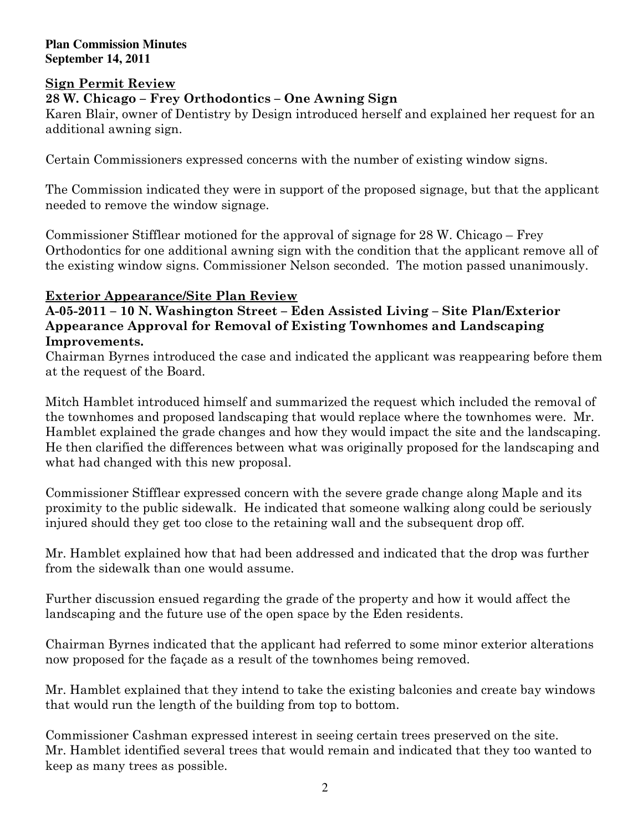## Sign Permit Review

## 28 W. Chicago – Frey Orthodontics – One Awning Sign

Karen Blair, owner of Dentistry by Design introduced herself and explained her request for an additional awning sign.

Certain Commissioners expressed concerns with the number of existing window signs.

The Commission indicated they were in support of the proposed signage, but that the applicant needed to remove the window signage.

Commissioner Stifflear motioned for the approval of signage for 28 W. Chicago – Frey Orthodontics for one additional awning sign with the condition that the applicant remove all of the existing window signs. Commissioner Nelson seconded. The motion passed unanimously.

## Exterior Appearance/Site Plan Review

## A-05-2011 – 10 N. Washington Street – Eden Assisted Living – Site Plan/Exterior Appearance Approval for Removal of Existing Townhomes and Landscaping Improvements.

Chairman Byrnes introduced the case and indicated the applicant was reappearing before them at the request of the Board.

Mitch Hamblet introduced himself and summarized the request which included the removal of the townhomes and proposed landscaping that would replace where the townhomes were. Mr. Hamblet explained the grade changes and how they would impact the site and the landscaping. He then clarified the differences between what was originally proposed for the landscaping and what had changed with this new proposal.

Commissioner Stifflear expressed concern with the severe grade change along Maple and its proximity to the public sidewalk. He indicated that someone walking along could be seriously injured should they get too close to the retaining wall and the subsequent drop off.

Mr. Hamblet explained how that had been addressed and indicated that the drop was further from the sidewalk than one would assume.

Further discussion ensued regarding the grade of the property and how it would affect the landscaping and the future use of the open space by the Eden residents.

Chairman Byrnes indicated that the applicant had referred to some minor exterior alterations now proposed for the façade as a result of the townhomes being removed.

Mr. Hamblet explained that they intend to take the existing balconies and create bay windows that would run the length of the building from top to bottom.

Commissioner Cashman expressed interest in seeing certain trees preserved on the site. Mr. Hamblet identified several trees that would remain and indicated that they too wanted to keep as many trees as possible.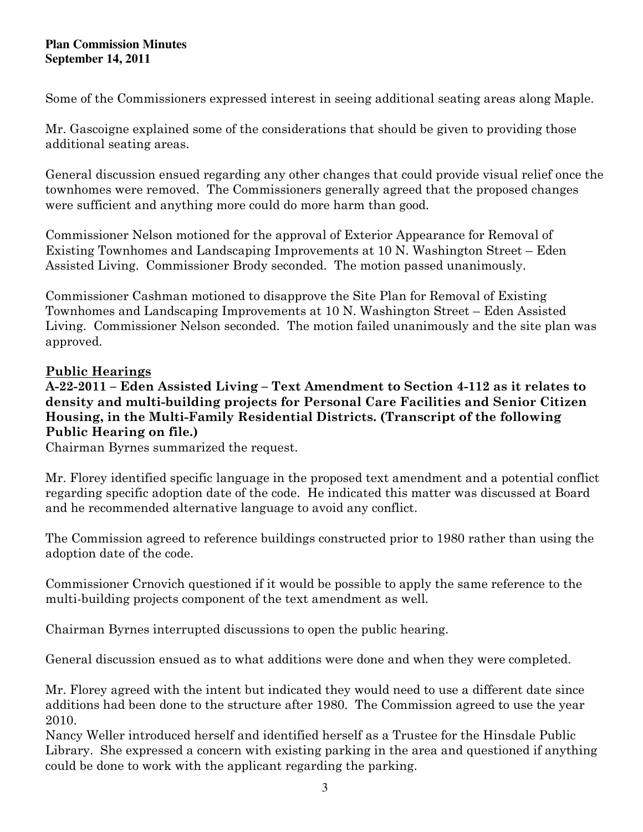Some of the Commissioners expressed interest in seeing additional seating areas along Maple.

Mr. Gascoigne explained some of the considerations that should be given to providing those additional seating areas.

General discussion ensued regarding any other changes that could provide visual relief once the townhomes were removed. The Commissioners generally agreed that the proposed changes were sufficient and anything more could do more harm than good.

Commissioner Nelson motioned for the approval of Exterior Appearance for Removal of Existing Townhomes and Landscaping Improvements at 10 N. Washington Street – Eden Assisted Living. Commissioner Brody seconded. The motion passed unanimously.

Commissioner Cashman motioned to disapprove the Site Plan for Removal of Existing Townhomes and Landscaping Improvements at 10 N. Washington Street – Eden Assisted Living. Commissioner Nelson seconded. The motion failed unanimously and the site plan was approved.

# Public Hearings

A-22-2011 – Eden Assisted Living – Text Amendment to Section 4-112 as it relates to density and multi-building projects for Personal Care Facilities and Senior Citizen Housing, in the Multi-Family Residential Districts. (Transcript of the following Public Hearing on file.)

Chairman Byrnes summarized the request.

Mr. Florey identified specific language in the proposed text amendment and a potential conflict regarding specific adoption date of the code. He indicated this matter was discussed at Board and he recommended alternative language to avoid any conflict.

The Commission agreed to reference buildings constructed prior to 1980 rather than using the adoption date of the code.

Commissioner Crnovich questioned if it would be possible to apply the same reference to the multi-building projects component of the text amendment as well.

Chairman Byrnes interrupted discussions to open the public hearing.

General discussion ensued as to what additions were done and when they were completed.

Mr. Florey agreed with the intent but indicated they would need to use a different date since additions had been done to the structure after 1980. The Commission agreed to use the year 2010.

Nancy Weller introduced herself and identified herself as a Trustee for the Hinsdale Public Library. She expressed a concern with existing parking in the area and questioned if anything could be done to work with the applicant regarding the parking.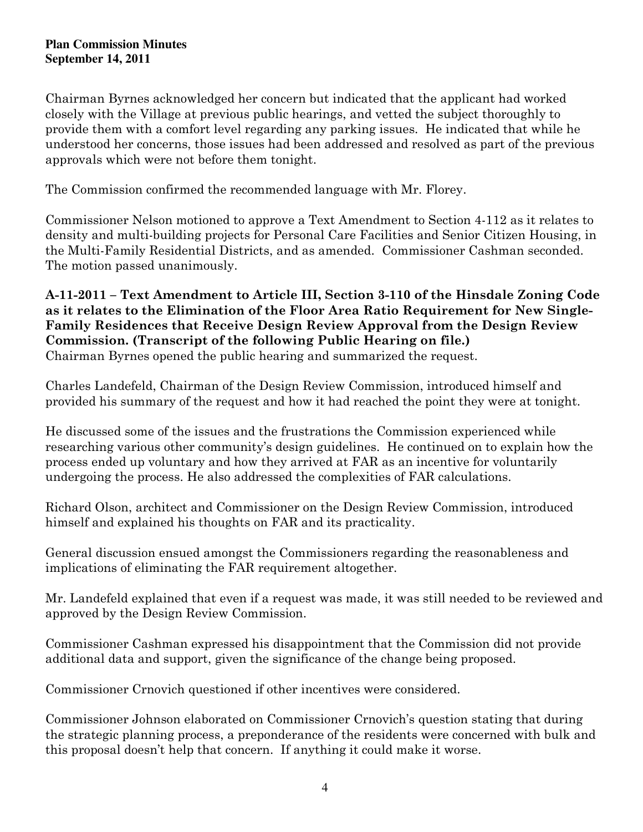Chairman Byrnes acknowledged her concern but indicated that the applicant had worked closely with the Village at previous public hearings, and vetted the subject thoroughly to provide them with a comfort level regarding any parking issues. He indicated that while he understood her concerns, those issues had been addressed and resolved as part of the previous approvals which were not before them tonight.

The Commission confirmed the recommended language with Mr. Florey.

Commissioner Nelson motioned to approve a Text Amendment to Section 4-112 as it relates to density and multi-building projects for Personal Care Facilities and Senior Citizen Housing, in the Multi-Family Residential Districts, and as amended. Commissioner Cashman seconded. The motion passed unanimously.

## A-11-2011 – Text Amendment to Article III, Section 3-110 of the Hinsdale Zoning Code as it relates to the Elimination of the Floor Area Ratio Requirement for New Single-Family Residences that Receive Design Review Approval from the Design Review Commission. (Transcript of the following Public Hearing on file.) Chairman Byrnes opened the public hearing and summarized the request.

Charles Landefeld, Chairman of the Design Review Commission, introduced himself and provided his summary of the request and how it had reached the point they were at tonight.

He discussed some of the issues and the frustrations the Commission experienced while researching various other community's design guidelines. He continued on to explain how the process ended up voluntary and how they arrived at FAR as an incentive for voluntarily undergoing the process. He also addressed the complexities of FAR calculations.

Richard Olson, architect and Commissioner on the Design Review Commission, introduced himself and explained his thoughts on FAR and its practicality.

General discussion ensued amongst the Commissioners regarding the reasonableness and implications of eliminating the FAR requirement altogether.

Mr. Landefeld explained that even if a request was made, it was still needed to be reviewed and approved by the Design Review Commission.

Commissioner Cashman expressed his disappointment that the Commission did not provide additional data and support, given the significance of the change being proposed.

Commissioner Crnovich questioned if other incentives were considered.

Commissioner Johnson elaborated on Commissioner Crnovich's question stating that during the strategic planning process, a preponderance of the residents were concerned with bulk and this proposal doesn't help that concern. If anything it could make it worse.